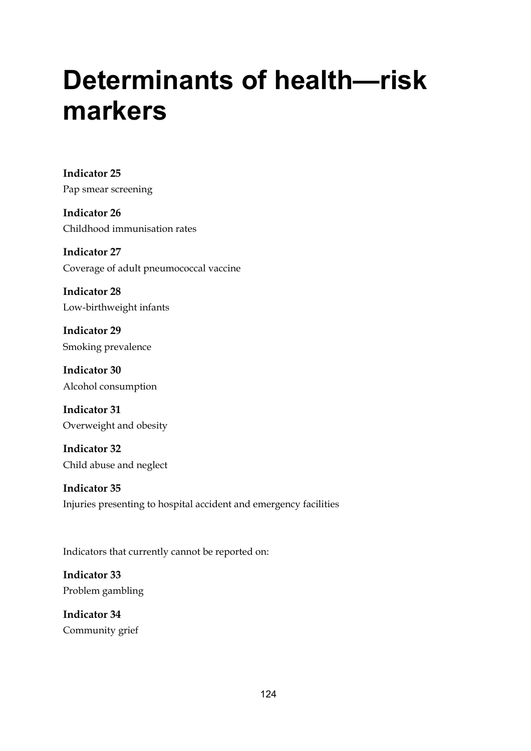# **Determinants of health—risk markers**

**Indicator 25**  Pap smear screening

**Indicator 26**  Childhood immunisation rates

**Indicator 27**  Coverage of adult pneumococcal vaccine

**Indicator 28**  Low-birthweight infants

**Indicator 29**  Smoking prevalence

**Indicator 30**  Alcohol consumption

**Indicator 31**  Overweight and obesity

**Indicator 32**  Child abuse and neglect

**Indicator 35**  Injuries presenting to hospital accident and emergency facilities

Indicators that currently cannot be reported on:

**Indicator 33**  Problem gambling

**Indicator 34**  Community grief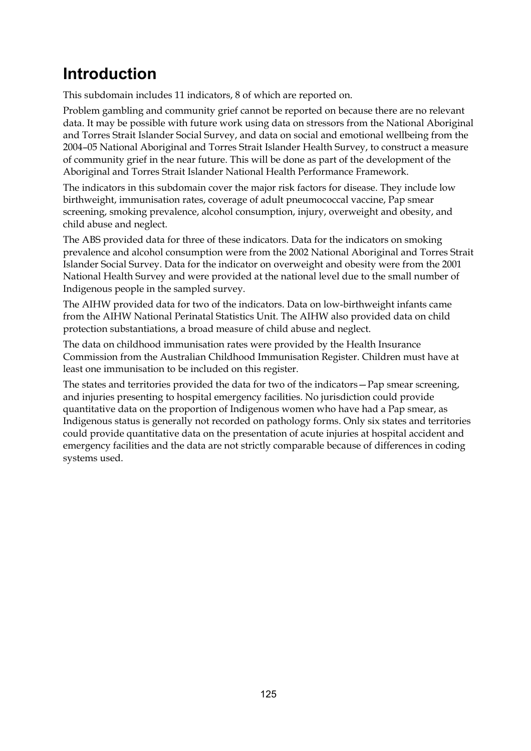# **Introduction**

This subdomain includes 11 indicators, 8 of which are reported on.

Problem gambling and community grief cannot be reported on because there are no relevant data. It may be possible with future work using data on stressors from the National Aboriginal and Torres Strait Islander Social Survey, and data on social and emotional wellbeing from the 2004–05 National Aboriginal and Torres Strait Islander Health Survey, to construct a measure of community grief in the near future. This will be done as part of the development of the Aboriginal and Torres Strait Islander National Health Performance Framework.

The indicators in this subdomain cover the major risk factors for disease. They include low birthweight, immunisation rates, coverage of adult pneumococcal vaccine, Pap smear screening, smoking prevalence, alcohol consumption, injury, overweight and obesity, and child abuse and neglect.

The ABS provided data for three of these indicators. Data for the indicators on smoking prevalence and alcohol consumption were from the 2002 National Aboriginal and Torres Strait Islander Social Survey. Data for the indicator on overweight and obesity were from the 2001 National Health Survey and were provided at the national level due to the small number of Indigenous people in the sampled survey.

The AIHW provided data for two of the indicators. Data on low-birthweight infants came from the AIHW National Perinatal Statistics Unit. The AIHW also provided data on child protection substantiations, a broad measure of child abuse and neglect.

The data on childhood immunisation rates were provided by the Health Insurance Commission from the Australian Childhood Immunisation Register. Children must have at least one immunisation to be included on this register.

The states and territories provided the data for two of the indicators—Pap smear screening, and injuries presenting to hospital emergency facilities. No jurisdiction could provide quantitative data on the proportion of Indigenous women who have had a Pap smear, as Indigenous status is generally not recorded on pathology forms. Only six states and territories could provide quantitative data on the presentation of acute injuries at hospital accident and emergency facilities and the data are not strictly comparable because of differences in coding systems used.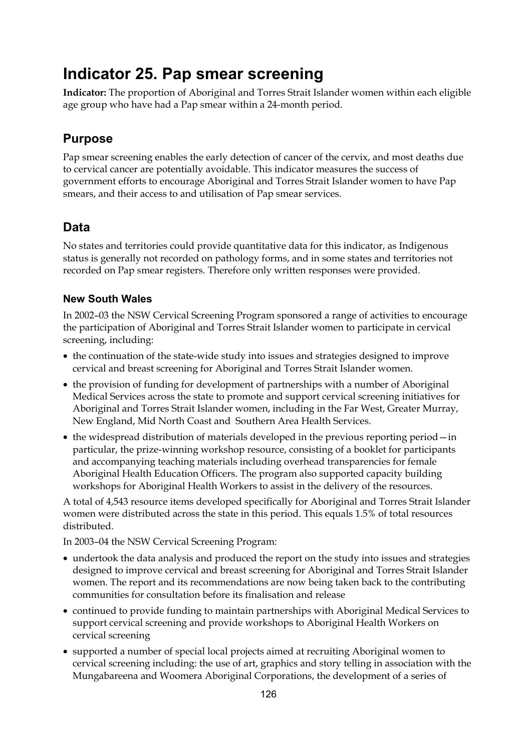# **Indicator 25. Pap smear screening**

**Indicator:** The proportion of Aboriginal and Torres Strait Islander women within each eligible age group who have had a Pap smear within a 24-month period.

### **Purpose**

Pap smear screening enables the early detection of cancer of the cervix, and most deaths due to cervical cancer are potentially avoidable. This indicator measures the success of government efforts to encourage Aboriginal and Torres Strait Islander women to have Pap smears, and their access to and utilisation of Pap smear services.

### **Data**

No states and territories could provide quantitative data for this indicator, as Indigenous status is generally not recorded on pathology forms, and in some states and territories not recorded on Pap smear registers. Therefore only written responses were provided.

#### **New South Wales**

In 2002–03 the NSW Cervical Screening Program sponsored a range of activities to encourage the participation of Aboriginal and Torres Strait Islander women to participate in cervical screening, including:

- the continuation of the state-wide study into issues and strategies designed to improve cervical and breast screening for Aboriginal and Torres Strait Islander women.
- the provision of funding for development of partnerships with a number of Aboriginal Medical Services across the state to promote and support cervical screening initiatives for Aboriginal and Torres Strait Islander women, including in the Far West, Greater Murray, New England, Mid North Coast and Southern Area Health Services.
- the widespread distribution of materials developed in the previous reporting period in particular, the prize-winning workshop resource, consisting of a booklet for participants and accompanying teaching materials including overhead transparencies for female Aboriginal Health Education Officers. The program also supported capacity building workshops for Aboriginal Health Workers to assist in the delivery of the resources.

A total of 4,543 resource items developed specifically for Aboriginal and Torres Strait Islander women were distributed across the state in this period. This equals 1.5% of total resources distributed.

In 2003–04 the NSW Cervical Screening Program:

- undertook the data analysis and produced the report on the study into issues and strategies designed to improve cervical and breast screening for Aboriginal and Torres Strait Islander women. The report and its recommendations are now being taken back to the contributing communities for consultation before its finalisation and release
- continued to provide funding to maintain partnerships with Aboriginal Medical Services to support cervical screening and provide workshops to Aboriginal Health Workers on cervical screening
- supported a number of special local projects aimed at recruiting Aboriginal women to cervical screening including: the use of art, graphics and story telling in association with the Mungabareena and Woomera Aboriginal Corporations, the development of a series of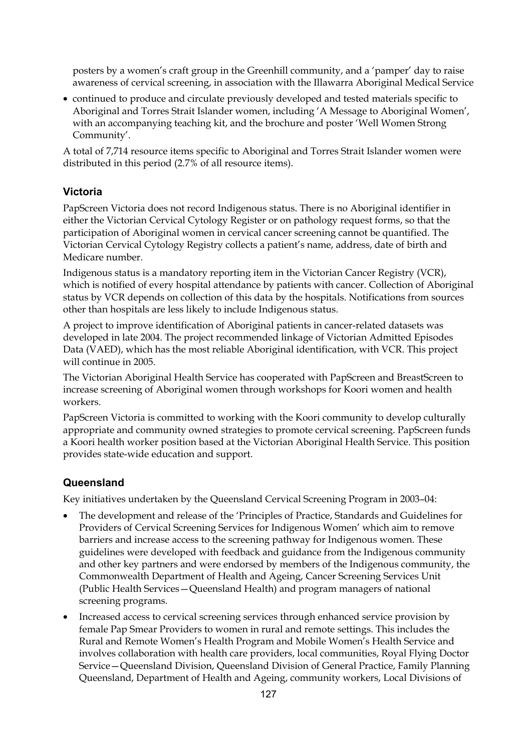posters by a women's craft group in the Greenhill community, and a 'pamper' day to raise awareness of cervical screening, in association with the Illawarra Aboriginal Medical Service

• continued to produce and circulate previously developed and tested materials specific to Aboriginal and Torres Strait Islander women, including 'A Message to Aboriginal Women', with an accompanying teaching kit, and the brochure and poster 'Well Women Strong Community'.

A total of 7,714 resource items specific to Aboriginal and Torres Strait Islander women were distributed in this period (2.7% of all resource items).

#### **Victoria**

PapScreen Victoria does not record Indigenous status. There is no Aboriginal identifier in either the Victorian Cervical Cytology Register or on pathology request forms, so that the participation of Aboriginal women in cervical cancer screening cannot be quantified. The Victorian Cervical Cytology Registry collects a patient's name, address, date of birth and Medicare number.

Indigenous status is a mandatory reporting item in the Victorian Cancer Registry (VCR), which is notified of every hospital attendance by patients with cancer. Collection of Aboriginal status by VCR depends on collection of this data by the hospitals. Notifications from sources other than hospitals are less likely to include Indigenous status.

A project to improve identification of Aboriginal patients in cancer-related datasets was developed in late 2004. The project recommended linkage of Victorian Admitted Episodes Data (VAED), which has the most reliable Aboriginal identification, with VCR. This project will continue in 2005.

The Victorian Aboriginal Health Service has cooperated with PapScreen and BreastScreen to increase screening of Aboriginal women through workshops for Koori women and health workers.

PapScreen Victoria is committed to working with the Koori community to develop culturally appropriate and community owned strategies to promote cervical screening. PapScreen funds a Koori health worker position based at the Victorian Aboriginal Health Service. This position provides state-wide education and support.

#### **Queensland**

Key initiatives undertaken by the Queensland Cervical Screening Program in 2003–04:

- The development and release of the 'Principles of Practice, Standards and Guidelines for Providers of Cervical Screening Services for Indigenous Women' which aim to remove barriers and increase access to the screening pathway for Indigenous women. These guidelines were developed with feedback and guidance from the Indigenous community and other key partners and were endorsed by members of the Indigenous community, the Commonwealth Department of Health and Ageing, Cancer Screening Services Unit (Public Health Services—Queensland Health) and program managers of national screening programs.
- Increased access to cervical screening services through enhanced service provision by female Pap Smear Providers to women in rural and remote settings. This includes the Rural and Remote Women's Health Program and Mobile Women's Health Service and involves collaboration with health care providers, local communities, Royal Flying Doctor Service—Queensland Division, Queensland Division of General Practice, Family Planning Queensland, Department of Health and Ageing, community workers, Local Divisions of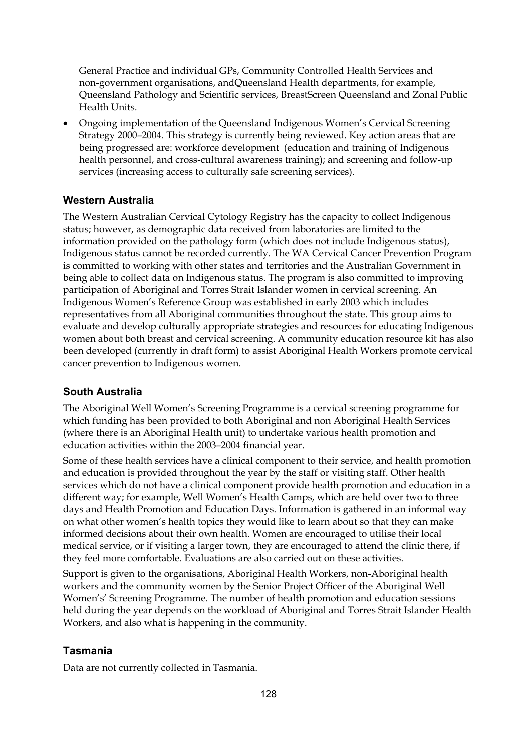General Practice and individual GPs, Community Controlled Health Services and non-government organisations, andQueensland Health departments, for example, Queensland Pathology and Scientific services, BreastScreen Queensland and Zonal Public Health Units.

• Ongoing implementation of the Queensland Indigenous Women's Cervical Screening Strategy 2000–2004. This strategy is currently being reviewed. Key action areas that are being progressed are: workforce development (education and training of Indigenous health personnel, and cross-cultural awareness training); and screening and follow-up services (increasing access to culturally safe screening services).

#### **Western Australia**

The Western Australian Cervical Cytology Registry has the capacity to collect Indigenous status; however, as demographic data received from laboratories are limited to the information provided on the pathology form (which does not include Indigenous status), Indigenous status cannot be recorded currently. The WA Cervical Cancer Prevention Program is committed to working with other states and territories and the Australian Government in being able to collect data on Indigenous status. The program is also committed to improving participation of Aboriginal and Torres Strait Islander women in cervical screening. An Indigenous Women's Reference Group was established in early 2003 which includes representatives from all Aboriginal communities throughout the state. This group aims to evaluate and develop culturally appropriate strategies and resources for educating Indigenous women about both breast and cervical screening. A community education resource kit has also been developed (currently in draft form) to assist Aboriginal Health Workers promote cervical cancer prevention to Indigenous women.

#### **South Australia**

The Aboriginal Well Women's Screening Programme is a cervical screening programme for which funding has been provided to both Aboriginal and non Aboriginal Health Services (where there is an Aboriginal Health unit) to undertake various health promotion and education activities within the 2003–2004 financial year.

Some of these health services have a clinical component to their service, and health promotion and education is provided throughout the year by the staff or visiting staff. Other health services which do not have a clinical component provide health promotion and education in a different way; for example, Well Women's Health Camps, which are held over two to three days and Health Promotion and Education Days. Information is gathered in an informal way on what other women's health topics they would like to learn about so that they can make informed decisions about their own health. Women are encouraged to utilise their local medical service, or if visiting a larger town, they are encouraged to attend the clinic there, if they feel more comfortable. Evaluations are also carried out on these activities.

Support is given to the organisations, Aboriginal Health Workers, non-Aboriginal health workers and the community women by the Senior Project Officer of the Aboriginal Well Women's' Screening Programme. The number of health promotion and education sessions held during the year depends on the workload of Aboriginal and Torres Strait Islander Health Workers, and also what is happening in the community.

#### **Tasmania**

Data are not currently collected in Tasmania.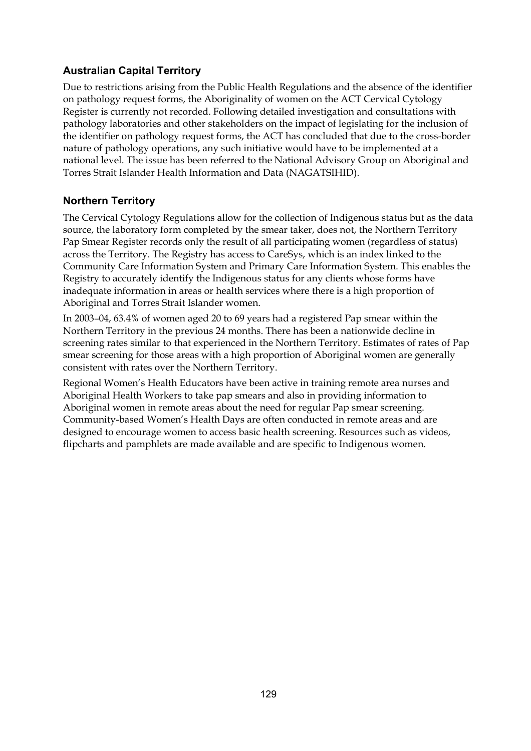#### **Australian Capital Territory**

Due to restrictions arising from the Public Health Regulations and the absence of the identifier on pathology request forms, the Aboriginality of women on the ACT Cervical Cytology Register is currently not recorded. Following detailed investigation and consultations with pathology laboratories and other stakeholders on the impact of legislating for the inclusion of the identifier on pathology request forms, the ACT has concluded that due to the cross-border nature of pathology operations, any such initiative would have to be implemented at a national level. The issue has been referred to the National Advisory Group on Aboriginal and Torres Strait Islander Health Information and Data (NAGATSIHID).

#### **Northern Territory**

The Cervical Cytology Regulations allow for the collection of Indigenous status but as the data source, the laboratory form completed by the smear taker, does not, the Northern Territory Pap Smear Register records only the result of all participating women (regardless of status) across the Territory. The Registry has access to CareSys, which is an index linked to the Community Care Information System and Primary Care Information System. This enables the Registry to accurately identify the Indigenous status for any clients whose forms have inadequate information in areas or health services where there is a high proportion of Aboriginal and Torres Strait Islander women.

In 2003–04, 63.4% of women aged 20 to 69 years had a registered Pap smear within the Northern Territory in the previous 24 months. There has been a nationwide decline in screening rates similar to that experienced in the Northern Territory. Estimates of rates of Pap smear screening for those areas with a high proportion of Aboriginal women are generally consistent with rates over the Northern Territory.

Regional Women's Health Educators have been active in training remote area nurses and Aboriginal Health Workers to take pap smears and also in providing information to Aboriginal women in remote areas about the need for regular Pap smear screening. Community-based Women's Health Days are often conducted in remote areas and are designed to encourage women to access basic health screening. Resources such as videos, flipcharts and pamphlets are made available and are specific to Indigenous women.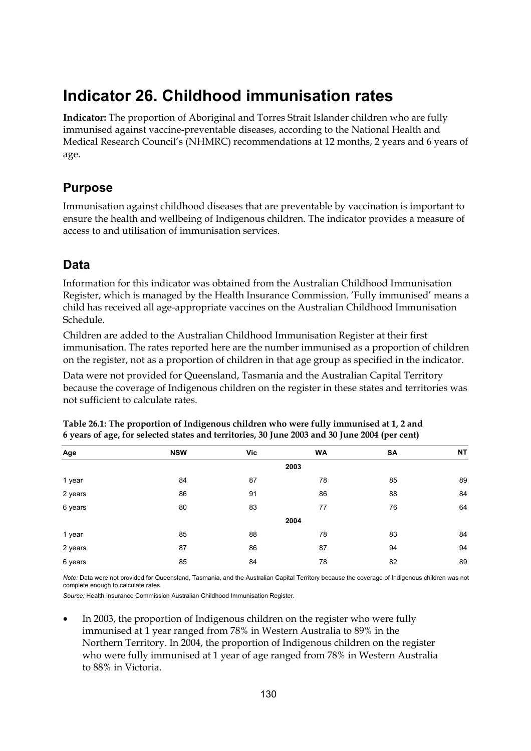# **Indicator 26. Childhood immunisation rates**

**Indicator:** The proportion of Aboriginal and Torres Strait Islander children who are fully immunised against vaccine-preventable diseases, according to the National Health and Medical Research Council's (NHMRC) recommendations at 12 months, 2 years and 6 years of age.

# **Purpose**

Immunisation against childhood diseases that are preventable by vaccination is important to ensure the health and wellbeing of Indigenous children. The indicator provides a measure of access to and utilisation of immunisation services.

## **Data**

Information for this indicator was obtained from the Australian Childhood Immunisation Register, which is managed by the Health Insurance Commission. 'Fully immunised' means a child has received all age-appropriate vaccines on the Australian Childhood Immunisation Schedule.

Children are added to the Australian Childhood Immunisation Register at their first immunisation. The rates reported here are the number immunised as a proportion of children on the register, not as a proportion of children in that age group as specified in the indicator.

Data were not provided for Queensland, Tasmania and the Australian Capital Territory because the coverage of Indigenous children on the register in these states and territories was not sufficient to calculate rates.

| Age     | <b>NSW</b> | Vic | <b>WA</b> | <b>SA</b> | <b>NT</b> |  |  |  |  |  |
|---------|------------|-----|-----------|-----------|-----------|--|--|--|--|--|
|         | 2003       |     |           |           |           |  |  |  |  |  |
| 1 year  | 84         | 87  | 78        | 85        | 89        |  |  |  |  |  |
| 2 years | 86         | 91  | 86        | 88        | 84        |  |  |  |  |  |
| 6 years | 80         | 83  | 77        | 76        | 64        |  |  |  |  |  |
|         |            |     | 2004      |           |           |  |  |  |  |  |
| 1 year  | 85         | 88  | 78        | 83        | 84        |  |  |  |  |  |
| 2 years | 87         | 86  | 87        | 94        | 94        |  |  |  |  |  |
| 6 years | 85         | 84  | 78        | 82        | 89        |  |  |  |  |  |

| Table 26.1: The proportion of Indigenous children who were fully immunised at 1, 2 and        |  |
|-----------------------------------------------------------------------------------------------|--|
| 6 years of age, for selected states and territories, 30 June 2003 and 30 June 2004 (per cent) |  |

*Note:* Data were not provided for Queensland, Tasmania, and the Australian Capital Territory because the coverage of Indigenous children was not complete enough to calculate rates

*Source:* Health Insurance Commission Australian Childhood Immunisation Register.

In 2003, the proportion of Indigenous children on the register who were fully immunised at 1 year ranged from 78% in Western Australia to 89% in the Northern Territory. In 2004, the proportion of Indigenous children on the register who were fully immunised at 1 year of age ranged from 78% in Western Australia to 88% in Victoria.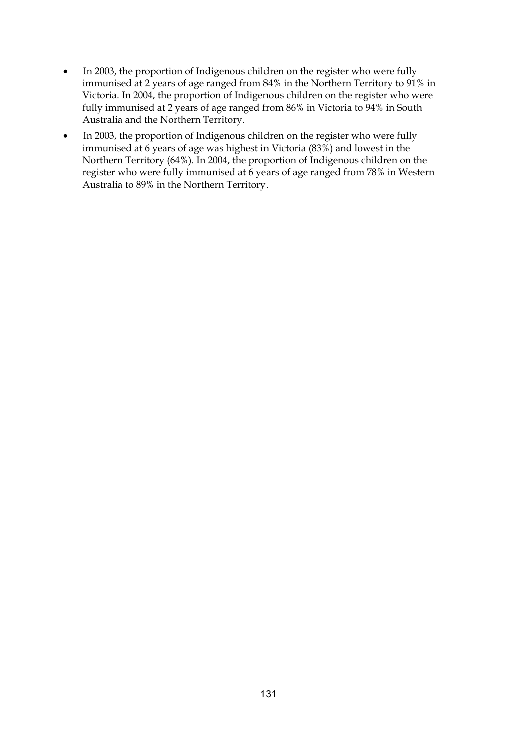- In 2003, the proportion of Indigenous children on the register who were fully immunised at 2 years of age ranged from 84% in the Northern Territory to 91% in Victoria. In 2004, the proportion of Indigenous children on the register who were fully immunised at 2 years of age ranged from 86% in Victoria to 94% in South Australia and the Northern Territory.
- In 2003, the proportion of Indigenous children on the register who were fully immunised at 6 years of age was highest in Victoria (83%) and lowest in the Northern Territory (64%). In 2004, the proportion of Indigenous children on the register who were fully immunised at 6 years of age ranged from 78% in Western Australia to 89% in the Northern Territory.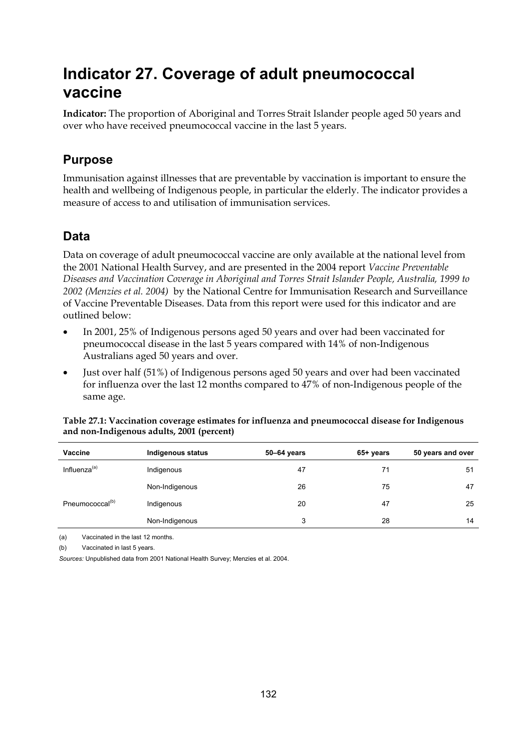# **Indicator 27. Coverage of adult pneumococcal vaccine**

**Indicator:** The proportion of Aboriginal and Torres Strait Islander people aged 50 years and over who have received pneumococcal vaccine in the last 5 years.

## **Purpose**

Immunisation against illnesses that are preventable by vaccination is important to ensure the health and wellbeing of Indigenous people, in particular the elderly. The indicator provides a measure of access to and utilisation of immunisation services.

# **Data**

Data on coverage of adult pneumococcal vaccine are only available at the national level from the 2001 National Health Survey, and are presented in the 2004 report *Vaccine Preventable Diseases and Vaccination Coverage in Aboriginal and Torres Strait Islander People, Australia, 1999 to 2002 (Menzies et al. 2004)* by the National Centre for Immunisation Research and Surveillance of Vaccine Preventable Diseases. Data from this report were used for this indicator and are outlined below:

- In 2001, 25% of Indigenous persons aged 50 years and over had been vaccinated for pneumococcal disease in the last 5 years compared with 14% of non-Indigenous Australians aged 50 years and over.
- Just over half (51%) of Indigenous persons aged 50 years and over had been vaccinated for influenza over the last 12 months compared to 47% of non-Indigenous people of the same age.

| <b>Vaccine</b>              | Indigenous status | 50-64 years | 65+ years | 50 years and over |
|-----------------------------|-------------------|-------------|-----------|-------------------|
| Influenza <sup>(a)</sup>    | Indigenous        | 47          | 71        | 51                |
|                             | Non-Indigenous    | 26          | 75        | 47                |
| Pneumococcal <sup>(b)</sup> | Indigenous        | 20          | 47        | 25                |
|                             | Non-Indigenous    | 3           | 28        | 14                |

#### **Table 27.1: Vaccination coverage estimates for influenza and pneumococcal disease for Indigenous and non-Indigenous adults, 2001 (percent)**

(a) Vaccinated in the last 12 months.

(b) Vaccinated in last 5 years.

*Sources:* Unpublished data from 2001 National Health Survey; Menzies et al. 2004.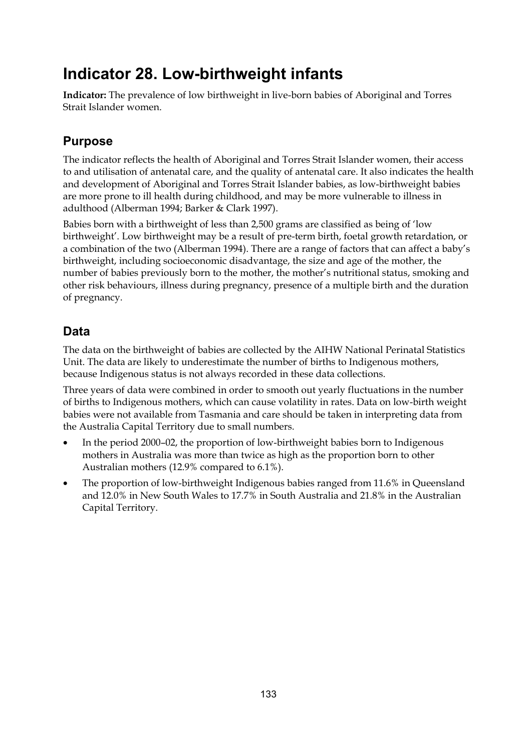# **Indicator 28. Low-birthweight infants**

**Indicator:** The prevalence of low birthweight in live-born babies of Aboriginal and Torres Strait Islander women.

# **Purpose**

The indicator reflects the health of Aboriginal and Torres Strait Islander women, their access to and utilisation of antenatal care, and the quality of antenatal care. It also indicates the health and development of Aboriginal and Torres Strait Islander babies, as low-birthweight babies are more prone to ill health during childhood, and may be more vulnerable to illness in adulthood (Alberman 1994; Barker & Clark 1997).

Babies born with a birthweight of less than 2,500 grams are classified as being of 'low birthweight'. Low birthweight may be a result of pre-term birth, foetal growth retardation, or a combination of the two (Alberman 1994). There are a range of factors that can affect a baby's birthweight, including socioeconomic disadvantage, the size and age of the mother, the number of babies previously born to the mother, the mother's nutritional status, smoking and other risk behaviours, illness during pregnancy, presence of a multiple birth and the duration of pregnancy.

# **Data**

The data on the birthweight of babies are collected by the AIHW National Perinatal Statistics Unit. The data are likely to underestimate the number of births to Indigenous mothers, because Indigenous status is not always recorded in these data collections.

Three years of data were combined in order to smooth out yearly fluctuations in the number of births to Indigenous mothers, which can cause volatility in rates. Data on low-birth weight babies were not available from Tasmania and care should be taken in interpreting data from the Australia Capital Territory due to small numbers.

- In the period 2000–02, the proportion of low-birthweight babies born to Indigenous mothers in Australia was more than twice as high as the proportion born to other Australian mothers (12.9% compared to 6.1%).
- The proportion of low-birthweight Indigenous babies ranged from 11.6% in Queensland and 12.0% in New South Wales to 17.7% in South Australia and 21.8% in the Australian Capital Territory.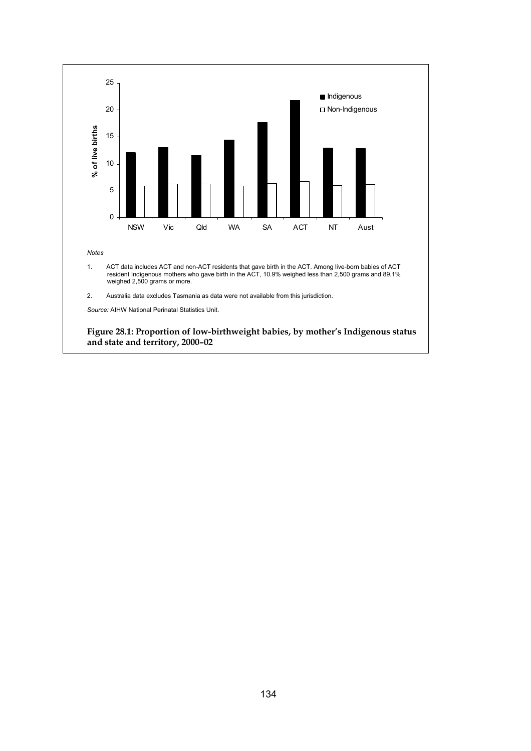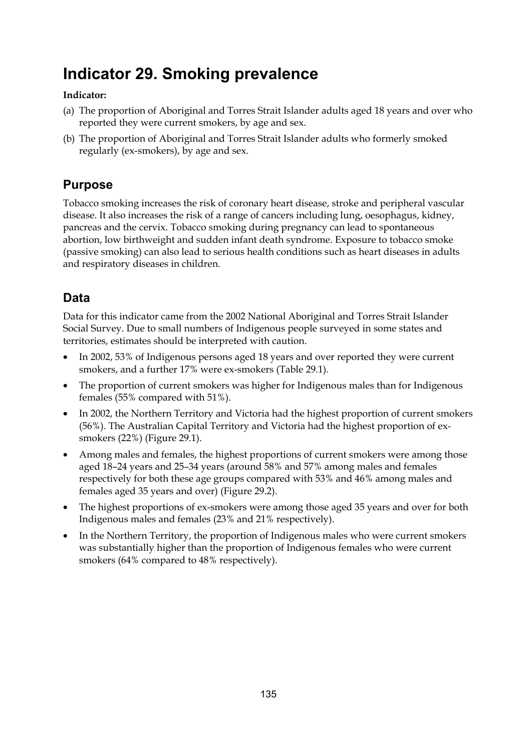# **Indicator 29. Smoking prevalence**

#### **Indicator:**

- (a) The proportion of Aboriginal and Torres Strait Islander adults aged 18 years and over who reported they were current smokers, by age and sex.
- (b) The proportion of Aboriginal and Torres Strait Islander adults who formerly smoked regularly (ex-smokers), by age and sex.

## **Purpose**

Tobacco smoking increases the risk of coronary heart disease, stroke and peripheral vascular disease. It also increases the risk of a range of cancers including lung, oesophagus, kidney, pancreas and the cervix. Tobacco smoking during pregnancy can lead to spontaneous abortion, low birthweight and sudden infant death syndrome. Exposure to tobacco smoke (passive smoking) can also lead to serious health conditions such as heart diseases in adults and respiratory diseases in children.

# **Data**

Data for this indicator came from the 2002 National Aboriginal and Torres Strait Islander Social Survey. Due to small numbers of Indigenous people surveyed in some states and territories, estimates should be interpreted with caution.

- In 2002, 53% of Indigenous persons aged 18 years and over reported they were current smokers, and a further 17% were ex-smokers (Table 29.1).
- The proportion of current smokers was higher for Indigenous males than for Indigenous females (55% compared with 51%).
- In 2002, the Northern Territory and Victoria had the highest proportion of current smokers (56%). The Australian Capital Territory and Victoria had the highest proportion of exsmokers (22%) (Figure 29.1).
- Among males and females, the highest proportions of current smokers were among those aged 18–24 years and 25–34 years (around 58% and 57% among males and females respectively for both these age groups compared with 53% and 46% among males and females aged 35 years and over) (Figure 29.2).
- The highest proportions of ex-smokers were among those aged 35 years and over for both Indigenous males and females (23% and 21% respectively).
- In the Northern Territory, the proportion of Indigenous males who were current smokers was substantially higher than the proportion of Indigenous females who were current smokers (64% compared to 48% respectively).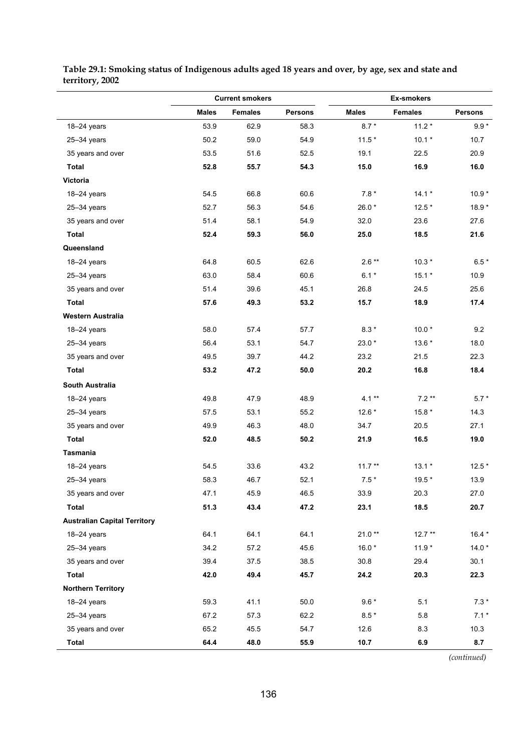|                                     |              | <b>Current smokers</b> |                |              |                |                |
|-------------------------------------|--------------|------------------------|----------------|--------------|----------------|----------------|
|                                     | <b>Males</b> | <b>Females</b>         | <b>Persons</b> | <b>Males</b> | <b>Females</b> | <b>Persons</b> |
| 18-24 years                         | 53.9         | 62.9                   | 58.3           | $8.7*$       | $11.2*$        | $9.9*$         |
| $25 - 34$ years                     | 50.2         | 59.0                   | 54.9           | $11.5*$      | $10.1*$        | 10.7           |
| 35 years and over                   | 53.5         | 51.6                   | 52.5           | 19.1         | 22.5           | 20.9           |
| <b>Total</b>                        | 52.8         | 55.7                   | 54.3           | 15.0         | 16.9           | 16.0           |
| Victoria                            |              |                        |                |              |                |                |
| 18-24 years                         | 54.5         | 66.8                   | 60.6           | $7.8*$       | $14.1*$        | $10.9*$        |
| $25 - 34$ years                     | 52.7         | 56.3                   | 54.6           | 26.0*        | $12.5*$        | $18.9*$        |
| 35 years and over                   | 51.4         | 58.1                   | 54.9           | 32.0         | 23.6           | 27.6           |
| Total                               | 52.4         | 59.3                   | 56.0           | 25.0         | 18.5           | 21.6           |
| Queensland                          |              |                        |                |              |                |                |
| 18-24 years                         | 64.8         | 60.5                   | 62.6           | $2.6**$      | $10.3*$        | $6.5*$         |
| $25 - 34$ years                     | 63.0         | 58.4                   | 60.6           | $6.1*$       | $15.1*$        | 10.9           |
| 35 years and over                   | 51.4         | 39.6                   | 45.1           | 26.8         | 24.5           | 25.6           |
| <b>Total</b>                        | 57.6         | 49.3                   | 53.2           | 15.7         | 18.9           | 17.4           |
| Western Australia                   |              |                        |                |              |                |                |
| $18 - 24$ years                     | 58.0         | 57.4                   | 57.7           | $8.3*$       | $10.0*$        | 9.2            |
| $25 - 34$ years                     | 56.4         | 53.1                   | 54.7           | 23.0 *       | $13.6*$        | 18.0           |
| 35 years and over                   | 49.5         | 39.7                   | 44.2           | 23.2         | 21.5           | 22.3           |
| <b>Total</b>                        | 53.2         | 47.2                   | 50.0           | 20.2         | 16.8           | 18.4           |
| <b>South Australia</b>              |              |                        |                |              |                |                |
| 18-24 years                         | 49.8         | 47.9                   | 48.9           | $4.1**$      | $7.2**$        | $5.7*$         |
| $25 - 34$ years                     | 57.5         | 53.1                   | 55.2           | $12.6*$      | $15.8*$        | 14.3           |
| 35 years and over                   | 49.9         | 46.3                   | 48.0           | 34.7         | 20.5           | 27.1           |
| <b>Total</b>                        | 52.0         | 48.5                   | 50.2           | 21.9         | 16.5           | 19.0           |
| <b>Tasmania</b>                     |              |                        |                |              |                |                |
| 18-24 years                         | 54.5         | 33.6                   | 43.2           | $11.7***$    | $13.1*$        | $12.5*$        |
| $25 - 34$ years                     | 58.3         | 46.7                   | 52.1           | $7.5*$       | 19.5 *         | 13.9           |
| 35 years and over                   | 47.1         | 45.9                   | 46.5           | 33.9         | 20.3           | 27.0           |
| Total                               | 51.3         | 43.4                   | 47.2           | 23.1         | 18.5           | 20.7           |
| <b>Australian Capital Territory</b> |              |                        |                |              |                |                |
| 18-24 years                         | 64.1         | 64.1                   | 64.1           | $21.0**$     | $12.7**$       | $16.4*$        |
| $25 - 34$ years                     | 34.2         | 57.2                   | 45.6           | $16.0*$      | $11.9*$        | $14.0*$        |
| 35 years and over                   | 39.4         | 37.5                   | 38.5           | 30.8         | 29.4           | 30.1           |
| <b>Total</b>                        | 42.0         | 49.4                   | 45.7           | 24.2         | 20.3           | 22.3           |
| <b>Northern Territory</b>           |              |                        |                |              |                |                |
| 18-24 years                         | 59.3         | 41.1                   | 50.0           | $9.6*$       | 5.1            | $7.3*$         |
| $25 - 34$ years                     | 67.2         | 57.3                   | 62.2           | $8.5*$       | 5.8            | $7.1*$         |
| 35 years and over                   | 65.2         | 45.5                   | 54.7           | 12.6         | 8.3            | 10.3           |
| <b>Total</b>                        | 64.4         | 48.0                   | 55.9           | 10.7         | 6.9            | 8.7            |

#### **Table 29.1: Smoking status of Indigenous adults aged 18 years and over, by age, sex and state and territory, 2002**

*(continued)*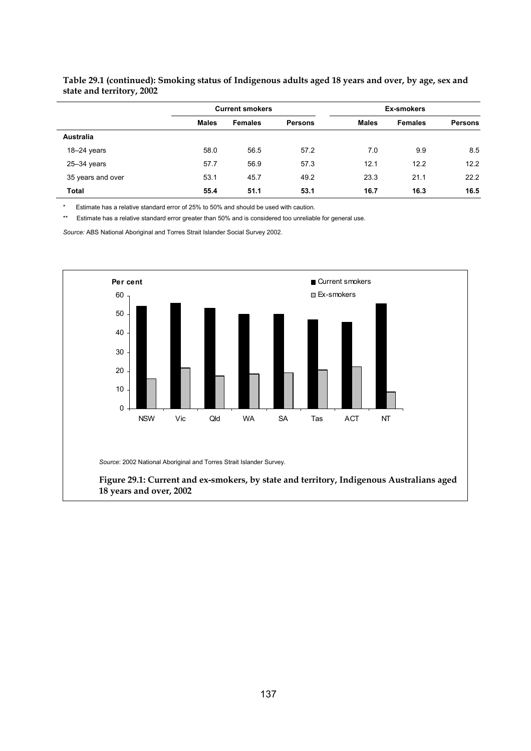|                   |              | <b>Current smokers</b> |                |              | <b>Ex-smokers</b> |                |  |  |
|-------------------|--------------|------------------------|----------------|--------------|-------------------|----------------|--|--|
|                   | <b>Males</b> | <b>Females</b>         | <b>Persons</b> | <b>Males</b> | <b>Females</b>    | <b>Persons</b> |  |  |
| <b>Australia</b>  |              |                        |                |              |                   |                |  |  |
| $18-24$ years     | 58.0         | 56.5                   | 57.2           | 7.0          | 9.9               | 8.5            |  |  |
| $25 - 34$ years   | 57.7         | 56.9                   | 57.3           | 12.1         | 12.2              | 12.2           |  |  |
| 35 years and over | 53.1         | 45.7                   | 49.2           | 23.3         | 21.1              | 22.2           |  |  |
| <b>Total</b>      | 55.4         | 51.1                   | 53.1           | 16.7         | 16.3              | 16.5           |  |  |

**Table 29.1 (continued): Smoking status of Indigenous adults aged 18 years and over, by age, sex and state and territory, 2002** 

Estimate has a relative standard error of 25% to 50% and should be used with caution.

\*\* Estimate has a relative standard error greater than 50% and is considered too unreliable for general use.

*Source:* ABS National Aboriginal and Torres Strait Islander Social Survey 2002.



**Figure 29.1: Current and ex-smokers, by state and territory, Indigenous Australians aged 18 years and over, 2002**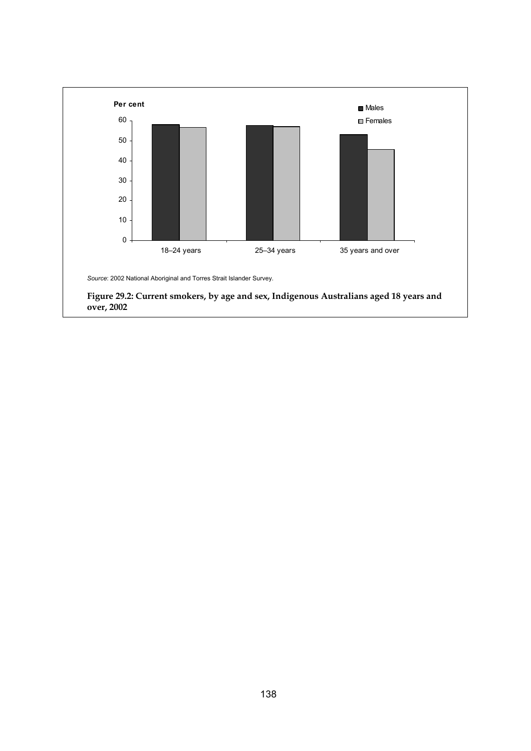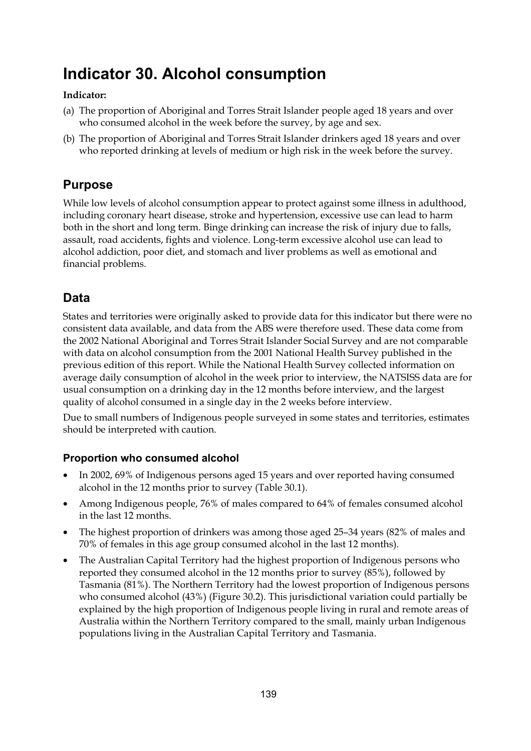# **Indicator 30. Alcohol consumption**

#### **Indicator:**

- (a) The proportion of Aboriginal and Torres Strait Islander people aged 18 years and over who consumed alcohol in the week before the survey, by age and sex.
- (b) The proportion of Aboriginal and Torres Strait Islander drinkers aged 18 years and over who reported drinking at levels of medium or high risk in the week before the survey.

## **Purpose**

While low levels of alcohol consumption appear to protect against some illness in adulthood, including coronary heart disease, stroke and hypertension, excessive use can lead to harm both in the short and long term. Binge drinking can increase the risk of injury due to falls, assault, road accidents, fights and violence. Long-term excessive alcohol use can lead to alcohol addiction, poor diet, and stomach and liver problems as well as emotional and financial problems.

# **Data**

States and territories were originally asked to provide data for this indicator but there were no consistent data available, and data from the ABS were therefore used. These data come from the 2002 National Aboriginal and Torres Strait Islander Social Survey and are not comparable with data on alcohol consumption from the 2001 National Health Survey published in the previous edition of this report. While the National Health Survey collected information on average daily consumption of alcohol in the week prior to interview, the NATSISS data are for usual consumption on a drinking day in the 12 months before interview, and the largest quality of alcohol consumed in a single day in the 2 weeks before interview.

Due to small numbers of Indigenous people surveyed in some states and territories, estimates should be interpreted with caution.

#### **Proportion who consumed alcohol**

- In 2002, 69% of Indigenous persons aged 15 years and over reported having consumed alcohol in the 12 months prior to survey (Table 30.1).
- Among Indigenous people, 76% of males compared to 64% of females consumed alcohol in the last 12 months.
- The highest proportion of drinkers was among those aged 25–34 years (82% of males and 70% of females in this age group consumed alcohol in the last 12 months).
- The Australian Capital Territory had the highest proportion of Indigenous persons who reported they consumed alcohol in the 12 months prior to survey (85%), followed by Tasmania (81%). The Northern Territory had the lowest proportion of Indigenous persons who consumed alcohol (43%) (Figure 30.2). This jurisdictional variation could partially be explained by the high proportion of Indigenous people living in rural and remote areas of Australia within the Northern Territory compared to the small, mainly urban Indigenous populations living in the Australian Capital Territory and Tasmania.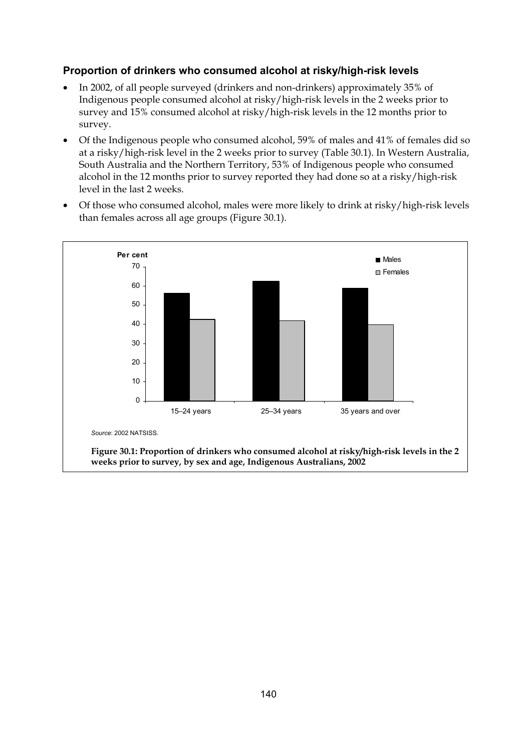#### **Proportion of drinkers who consumed alcohol at risky/high-risk levels**

- In 2002, of all people surveyed (drinkers and non-drinkers) approximately 35% of Indigenous people consumed alcohol at risky/high-risk levels in the 2 weeks prior to survey and 15% consumed alcohol at risky/high-risk levels in the 12 months prior to survey.
- Of the Indigenous people who consumed alcohol, 59% of males and 41% of females did so at a risky/high-risk level in the 2 weeks prior to survey (Table 30.1). In Western Australia, South Australia and the Northern Territory, 53% of Indigenous people who consumed alcohol in the 12 months prior to survey reported they had done so at a risky/high-risk level in the last 2 weeks.
- Of those who consumed alcohol, males were more likely to drink at risky/high-risk levels than females across all age groups (Figure 30.1).

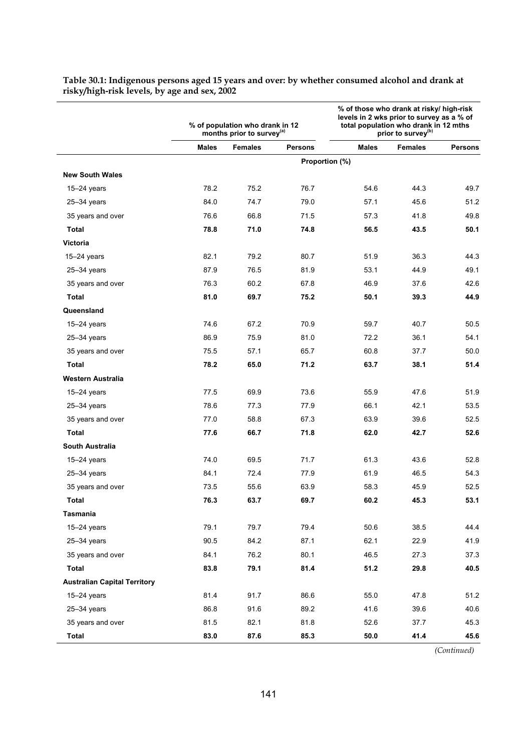|                                     |              | % of population who drank in 12<br>months prior to survey <sup>(a)</sup> |                | % of those who drank at risky/ high-risk<br>levels in 2 wks prior to survey as a % of<br>total population who drank in 12 mths<br>prior to survey <sup>(b)</sup> |                |                |  |
|-------------------------------------|--------------|--------------------------------------------------------------------------|----------------|------------------------------------------------------------------------------------------------------------------------------------------------------------------|----------------|----------------|--|
|                                     | <b>Males</b> | <b>Females</b>                                                           | <b>Persons</b> | <b>Males</b>                                                                                                                                                     | <b>Females</b> | <b>Persons</b> |  |
|                                     |              |                                                                          |                | Proportion (%)                                                                                                                                                   |                |                |  |
| <b>New South Wales</b>              |              |                                                                          |                |                                                                                                                                                                  |                |                |  |
| $15-24$ years                       | 78.2         | 75.2                                                                     | 76.7           | 54.6                                                                                                                                                             | 44.3           | 49.7           |  |
| $25 - 34$ years                     | 84.0         | 74.7                                                                     | 79.0           | 57.1                                                                                                                                                             | 45.6           | 51.2           |  |
| 35 years and over                   | 76.6         | 66.8                                                                     | 71.5           | 57.3                                                                                                                                                             | 41.8           | 49.8           |  |
| Total                               | 78.8         | 71.0                                                                     | 74.8           | 56.5                                                                                                                                                             | 43.5           | 50.1           |  |
| Victoria                            |              |                                                                          |                |                                                                                                                                                                  |                |                |  |
| $15-24$ years                       | 82.1         | 79.2                                                                     | 80.7           | 51.9                                                                                                                                                             | 36.3           | 44.3           |  |
| $25 - 34$ years                     | 87.9         | 76.5                                                                     | 81.9           | 53.1                                                                                                                                                             | 44.9           | 49.1           |  |
| 35 years and over                   | 76.3         | 60.2                                                                     | 67.8           | 46.9                                                                                                                                                             | 37.6           | 42.6           |  |
| Total                               | 81.0         | 69.7                                                                     | 75.2           | 50.1                                                                                                                                                             | 39.3           | 44.9           |  |
| Queensland                          |              |                                                                          |                |                                                                                                                                                                  |                |                |  |
| $15-24$ years                       | 74.6         | 67.2                                                                     | 70.9           | 59.7                                                                                                                                                             | 40.7           | 50.5           |  |
| $25 - 34$ years                     | 86.9         | 75.9                                                                     | 81.0           | 72.2                                                                                                                                                             | 36.1           | 54.1           |  |
| 35 years and over                   | 75.5         | 57.1                                                                     | 65.7           | 60.8                                                                                                                                                             | 37.7           | 50.0           |  |
| Total                               | 78.2         | 65.0                                                                     | 71.2           | 63.7                                                                                                                                                             | 38.1           | 51.4           |  |
| Western Australia                   |              |                                                                          |                |                                                                                                                                                                  |                |                |  |
| $15-24$ years                       | 77.5         | 69.9                                                                     | 73.6           | 55.9                                                                                                                                                             | 47.6           | 51.9           |  |
| $25 - 34$ years                     | 78.6         | 77.3                                                                     | 77.9           | 66.1                                                                                                                                                             | 42.1           | 53.5           |  |
| 35 years and over                   | 77.0         | 58.8                                                                     | 67.3           | 63.9                                                                                                                                                             | 39.6           | 52.5           |  |
| Total                               | 77.6         | 66.7                                                                     | 71.8           | 62.0                                                                                                                                                             | 42.7           | 52.6           |  |
| <b>South Australia</b>              |              |                                                                          |                |                                                                                                                                                                  |                |                |  |
| $15-24$ years                       | 74.0         | 69.5                                                                     | 71.7           | 61.3                                                                                                                                                             | 43.6           | 52.8           |  |
| $25 - 34$ years                     | 84.1         | 72.4                                                                     | 77.9           | 61.9                                                                                                                                                             | 46.5           | 54.3           |  |
| 35 years and over                   | 73.5         | 55.6                                                                     | 63.9           | 58.3                                                                                                                                                             | 45.9           | 52.5           |  |
| Total                               | 76.3         | 63.7                                                                     | 69.7           | 60.2                                                                                                                                                             | 45.3           | 53.1           |  |
| Tasmania                            |              |                                                                          |                |                                                                                                                                                                  |                |                |  |
| $15-24$ years                       | 79.1         | 79.7                                                                     | 79.4           | 50.6                                                                                                                                                             | 38.5           | 44.4           |  |
| $25 - 34$ years                     | 90.5         | 84.2                                                                     | 87.1           | 62.1                                                                                                                                                             | 22.9           | 41.9           |  |
| 35 years and over                   | 84.1         | 76.2                                                                     | 80.1           | 46.5                                                                                                                                                             | 27.3           | 37.3           |  |
| Total                               | 83.8         | 79.1                                                                     | 81.4           | 51.2                                                                                                                                                             | 29.8           | 40.5           |  |
| <b>Australian Capital Territory</b> |              |                                                                          |                |                                                                                                                                                                  |                |                |  |
| $15-24$ years                       | 81.4         | 91.7                                                                     | 86.6           | 55.0                                                                                                                                                             | 47.8           | 51.2           |  |
| $25 - 34$ years                     | 86.8         | 91.6                                                                     | 89.2           | 41.6                                                                                                                                                             | 39.6           | 40.6           |  |
| 35 years and over                   | 81.5         | 82.1                                                                     | 81.8           | 52.6                                                                                                                                                             | 37.7           | 45.3           |  |
| <b>Total</b>                        | 83.0         | 87.6                                                                     | 85.3           | 50.0                                                                                                                                                             | 41.4           | 45.6           |  |

**Table 30.1: Indigenous persons aged 15 years and over: by whether consumed alcohol and drank at risky/high-risk levels, by age and sex, 2002** 

*(Continued)*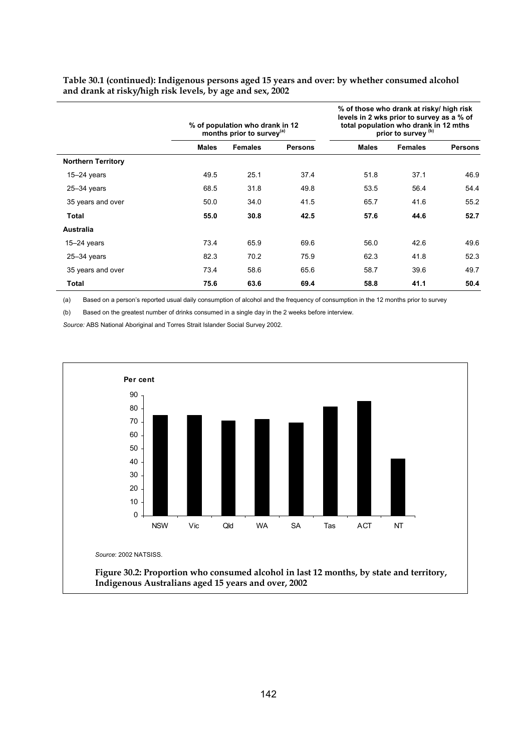|                           |              | % of population who drank in 12<br>months prior to survey <sup>(a)</sup> |                | % of those who drank at risky/ high risk<br>levels in 2 wks prior to survey as a % of<br>total population who drank in 12 mths<br>prior to survey (b) |                |                |  |
|---------------------------|--------------|--------------------------------------------------------------------------|----------------|-------------------------------------------------------------------------------------------------------------------------------------------------------|----------------|----------------|--|
|                           | <b>Males</b> | <b>Females</b>                                                           | <b>Persons</b> | <b>Males</b>                                                                                                                                          | <b>Females</b> | <b>Persons</b> |  |
| <b>Northern Territory</b> |              |                                                                          |                |                                                                                                                                                       |                |                |  |
| $15 - 24$ years           | 49.5         | 25.1                                                                     | 37.4           | 51.8                                                                                                                                                  | 37.1           | 46.9           |  |
| $25 - 34$ years           | 68.5         | 31.8                                                                     | 49.8           | 53.5                                                                                                                                                  | 56.4           | 54.4           |  |
| 35 years and over         | 50.0         | 34.0                                                                     | 41.5           | 65.7                                                                                                                                                  | 41.6           | 55.2           |  |
| Total                     | 55.0         | 30.8                                                                     | 42.5           | 57.6                                                                                                                                                  | 44.6           | 52.7           |  |
| <b>Australia</b>          |              |                                                                          |                |                                                                                                                                                       |                |                |  |
| $15 - 24$ years           | 73.4         | 65.9                                                                     | 69.6           | 56.0                                                                                                                                                  | 42.6           | 49.6           |  |
| $25 - 34$ years           | 82.3         | 70.2                                                                     | 75.9           | 62.3                                                                                                                                                  | 41.8           | 52.3           |  |
| 35 years and over         | 73.4         | 58.6                                                                     | 65.6           | 58.7                                                                                                                                                  | 39.6           | 49.7           |  |
| Total                     | 75.6         | 63.6                                                                     | 69.4           | 58.8                                                                                                                                                  | 41.1           | 50.4           |  |

**Table 30.1 (continued): Indigenous persons aged 15 years and over: by whether consumed alcohol and drank at risky/high risk levels, by age and sex, 2002** 

(a) Based on a person's reported usual daily consumption of alcohol and the frequency of consumption in the 12 months prior to survey

(b) Based on the greatest number of drinks consumed in a single day in the 2 weeks before interview.

*Source:* ABS National Aboriginal and Torres Strait Islander Social Survey 2002.

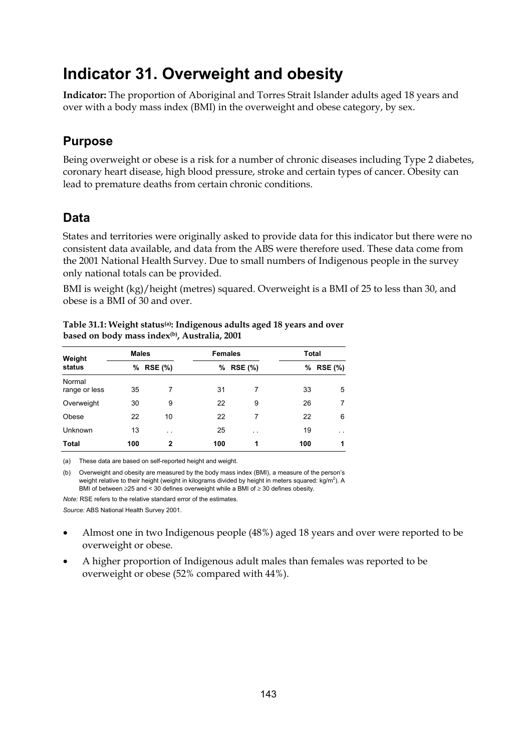# **Indicator 31. Overweight and obesity**

**Indicator:** The proportion of Aboriginal and Torres Strait Islander adults aged 18 years and over with a body mass index (BMI) in the overweight and obese category, by sex.

# **Purpose**

Being overweight or obese is a risk for a number of chronic diseases including Type 2 diabetes, coronary heart disease, high blood pressure, stroke and certain types of cancer. Obesity can lead to premature deaths from certain chronic conditions.

### **Data**

States and territories were originally asked to provide data for this indicator but there were no consistent data available, and data from the ABS were therefore used. These data come from the 2001 National Health Survey. Due to small numbers of Indigenous people in the survey only national totals can be provided.

BMI is weight (kg)/height (metres) squared. Overweight is a BMI of 25 to less than 30, and obese is a BMI of 30 and over.

| Weight<br>status        | <b>Males</b> |                      | <b>Females</b> |                |     | <b>Total</b>   |  |  |
|-------------------------|--------------|----------------------|----------------|----------------|-----|----------------|--|--|
|                         | ℅            | <b>RSE (%)</b>       | %              | <b>RSE (%)</b> | %   | <b>RSE (%)</b> |  |  |
| Normal<br>range or less | 35           | 7                    | 31             | 7              | 33  | 5              |  |  |
| Overweight              | 30           | 9                    | 22             | 9              | 26  | 7              |  |  |
| Obese                   | 22           | 10                   | 22             | 7              | 22  | 6              |  |  |
| <b>Unknown</b>          | 13           | $\ddot{\phantom{0}}$ | 25             | $\cdot$ .      | 19  | $\sim$ $\sim$  |  |  |
| <b>Total</b>            | 100          | $\mathbf{2}$         | 100            | 1              | 100 | 1              |  |  |

**Table 31.1: Weight status(a): Indigenous adults aged 18 years and over based on body mass index(b), Australia, 2001** 

(a) These data are based on self-reported height and weight.

(b) Overweight and obesity are measured by the body mass index (BMI), a measure of the person's weight relative to their height (weight in kilograms divided by height in meters squared: kg/m<sup>2</sup>). A BMI of between ≥25 and < 30 defines overweight while a BMI of ≥ 30 defines obesity.

*Note:* RSE refers to the relative standard error of the estimates. *Source:* ABS National Health Survey 2001.

- Almost one in two Indigenous people (48%) aged 18 years and over were reported to be overweight or obese.
- A higher proportion of Indigenous adult males than females was reported to be overweight or obese (52% compared with 44%).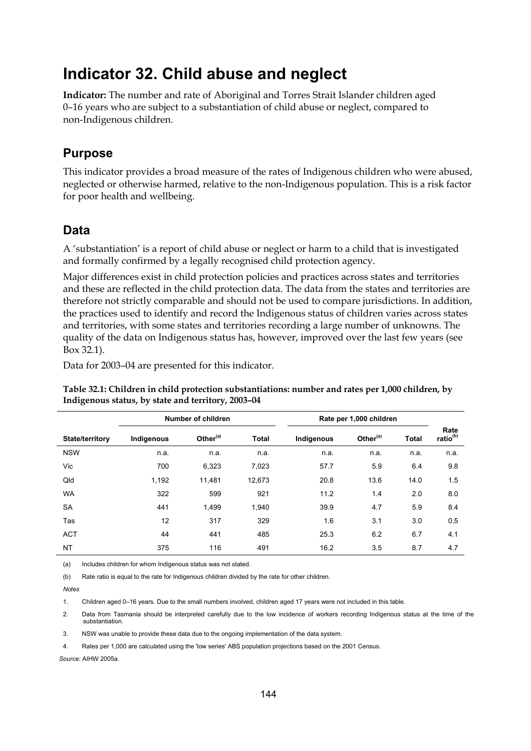# **Indicator 32. Child abuse and neglect**

**Indicator:** The number and rate of Aboriginal and Torres Strait Islander children aged 0–16 years who are subject to a substantiation of child abuse or neglect, compared to non-Indigenous children.

### **Purpose**

This indicator provides a broad measure of the rates of Indigenous children who were abused, neglected or otherwise harmed, relative to the non-Indigenous population. This is a risk factor for poor health and wellbeing.

### **Data**

A 'substantiation' is a report of child abuse or neglect or harm to a child that is investigated and formally confirmed by a legally recognised child protection agency.

Major differences exist in child protection policies and practices across states and territories and these are reflected in the child protection data. The data from the states and territories are therefore not strictly comparable and should not be used to compare jurisdictions. In addition, the practices used to identify and record the Indigenous status of children varies across states and territories, with some states and territories recording a large number of unknowns. The quality of the data on Indigenous status has, however, improved over the last few years (see Box 32.1).

Data for 2003–04 are presented for this indicator.

**Table 32.1: Children in child protection substantiations: number and rates per 1,000 children, by Indigenous status, by state and territory, 2003–04** 

|                        |            | Number of children   |              | Rate per 1,000 children |                      |              |                  |
|------------------------|------------|----------------------|--------------|-------------------------|----------------------|--------------|------------------|
| <b>State/territory</b> | Indigenous | Other <sup>(a)</sup> | <b>Total</b> | Indigenous              | Other <sup>(a)</sup> | <b>Total</b> | Rate<br>ratio(b) |
| <b>NSW</b>             | n.a.       | n.a.                 | n.a.         | n.a.                    | n.a.                 | n.a.         | n.a.             |
| Vic                    | 700        | 6,323                | 7,023        | 57.7                    | 5.9                  | 6.4          | 9.8              |
| Qld                    | 1,192      | 11,481               | 12,673       | 20.8                    | 13.6                 | 14.0         | 1.5              |
| <b>WA</b>              | 322        | 599                  | 921          | 11.2                    | 1.4                  | 2.0          | 8.0              |
| <b>SA</b>              | 441        | 1.499                | 1,940        | 39.9                    | 4.7                  | 5.9          | 8.4              |
| Tas                    | 12         | 317                  | 329          | 1.6                     | 3.1                  | 3.0          | 0.5              |
| <b>ACT</b>             | 44         | 441                  | 485          | 25.3                    | 6.2                  | 6.7          | 4.1              |
| <b>NT</b>              | 375        | 116                  | 491          | 16.2                    | 3.5                  | 8.7          | 4.7              |

(a) Includes children for whom Indigenous status was not stated.

(b) Rate ratio is equal to the rate for Indigenous children divided by the rate for other children.

*Notes* 

1. Children aged 0–16 years. Due to the small numbers involved, children aged 17 years were not included in this table.

2. Data from Tasmania should be interpreted carefully due to the low incidence of workers recording Indigenous status at the time of the substantiation.

3. NSW was unable to provide these data due to the ongoing implementation of the data system.

4. Rates per 1,000 are calculated using the 'low series' ABS population projections based on the 2001 Census.

*Source:* AIHW 2005a.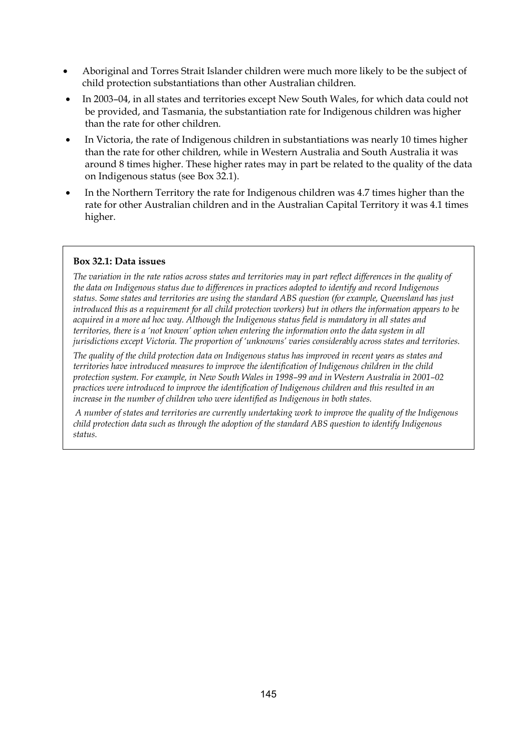- Aboriginal and Torres Strait Islander children were much more likely to be the subject of child protection substantiations than other Australian children.
- In 2003–04, in all states and territories except New South Wales, for which data could not be provided, and Tasmania, the substantiation rate for Indigenous children was higher than the rate for other children.
- In Victoria, the rate of Indigenous children in substantiations was nearly 10 times higher than the rate for other children, while in Western Australia and South Australia it was around 8 times higher. These higher rates may in part be related to the quality of the data on Indigenous status (see Box 32.1).
- In the Northern Territory the rate for Indigenous children was 4.7 times higher than the rate for other Australian children and in the Australian Capital Territory it was 4.1 times higher.

#### **Box 32.1: Data issues**

*The variation in the rate ratios across states and territories may in part reflect differences in the quality of the data on Indigenous status due to differences in practices adopted to identify and record Indigenous status. Some states and territories are using the standard ABS question (for example, Queensland has just introduced this as a requirement for all child protection workers) but in others the information appears to be acquired in a more ad hoc way. Although the Indigenous status field is mandatory in all states and territories, there is a 'not known' option when entering the information onto the data system in all jurisdictions except Victoria. The proportion of 'unknowns' varies considerably across states and territories.* 

*The quality of the child protection data on Indigenous status has improved in recent years as states and territories have introduced measures to improve the identification of Indigenous children in the child protection system. For example, in New South Wales in 1998–99 and in Western Australia in 2001–02 practices were introduced to improve the identification of Indigenous children and this resulted in an increase in the number of children who were identified as Indigenous in both states.* 

 *A number of states and territories are currently undertaking work to improve the quality of the Indigenous child protection data such as through the adoption of the standard ABS question to identify Indigenous status.*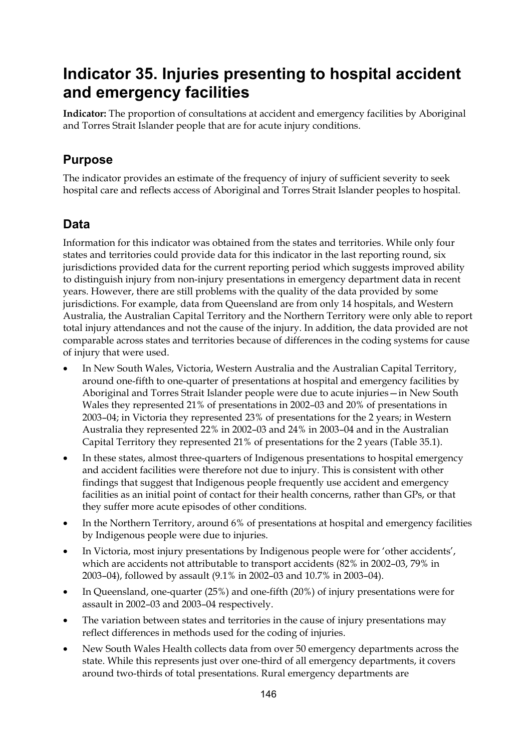# **Indicator 35. Injuries presenting to hospital accident and emergency facilities**

**Indicator:** The proportion of consultations at accident and emergency facilities by Aboriginal and Torres Strait Islander people that are for acute injury conditions.

### **Purpose**

The indicator provides an estimate of the frequency of injury of sufficient severity to seek hospital care and reflects access of Aboriginal and Torres Strait Islander peoples to hospital.

## **Data**

Information for this indicator was obtained from the states and territories. While only four states and territories could provide data for this indicator in the last reporting round, six jurisdictions provided data for the current reporting period which suggests improved ability to distinguish injury from non-injury presentations in emergency department data in recent years. However, there are still problems with the quality of the data provided by some jurisdictions. For example, data from Queensland are from only 14 hospitals, and Western Australia, the Australian Capital Territory and the Northern Territory were only able to report total injury attendances and not the cause of the injury. In addition, the data provided are not comparable across states and territories because of differences in the coding systems for cause of injury that were used.

- In New South Wales, Victoria, Western Australia and the Australian Capital Territory, around one-fifth to one-quarter of presentations at hospital and emergency facilities by Aboriginal and Torres Strait Islander people were due to acute injuries—in New South Wales they represented 21% of presentations in 2002–03 and 20% of presentations in 2003–04; in Victoria they represented 23% of presentations for the 2 years; in Western Australia they represented 22% in 2002–03 and 24% in 2003–04 and in the Australian Capital Territory they represented 21% of presentations for the 2 years (Table 35.1).
- In these states, almost three-quarters of Indigenous presentations to hospital emergency and accident facilities were therefore not due to injury. This is consistent with other findings that suggest that Indigenous people frequently use accident and emergency facilities as an initial point of contact for their health concerns, rather than GPs, or that they suffer more acute episodes of other conditions.
- In the Northern Territory, around 6% of presentations at hospital and emergency facilities by Indigenous people were due to injuries.
- In Victoria, most injury presentations by Indigenous people were for 'other accidents', which are accidents not attributable to transport accidents (82% in 2002–03, 79% in 2003–04), followed by assault (9.1% in 2002–03 and 10.7% in 2003–04).
- In Queensland, one-quarter (25%) and one-fifth (20%) of injury presentations were for assault in 2002–03 and 2003–04 respectively.
- The variation between states and territories in the cause of injury presentations may reflect differences in methods used for the coding of injuries.
- New South Wales Health collects data from over 50 emergency departments across the state. While this represents just over one-third of all emergency departments, it covers around two-thirds of total presentations. Rural emergency departments are